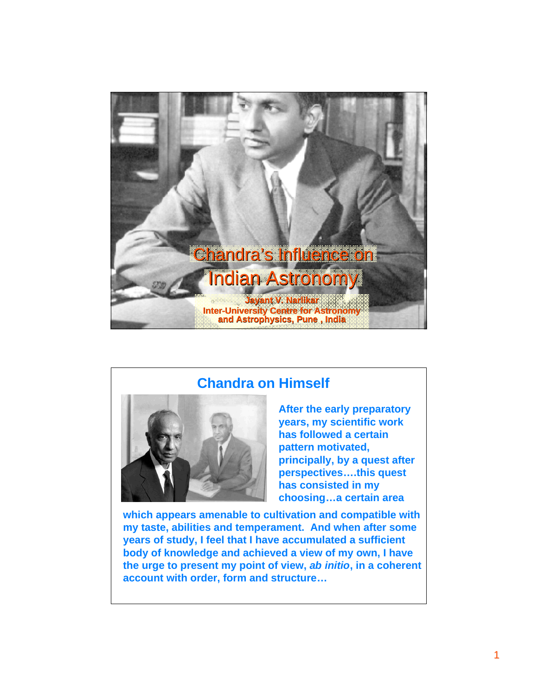

#### **Chandra on Himself**



**After the early preparatory years, my scientific work has followed a certain pattern motivated, principally, by a quest after perspectives….this quest has consisted in my choosing…a certain area**

**which appears amenable to cultivation and compatible with my taste, abilities and temperament. And when after some years of study, I feel that I have accumulated a sufficient body of knowledge and achieved a view of my own, I have the urge to present my point of view,** *ab initio***, in a coherent account with order, form and structure…**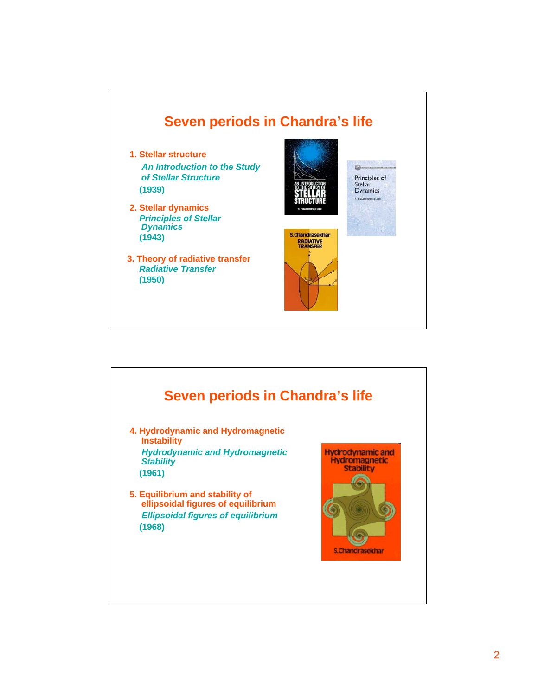

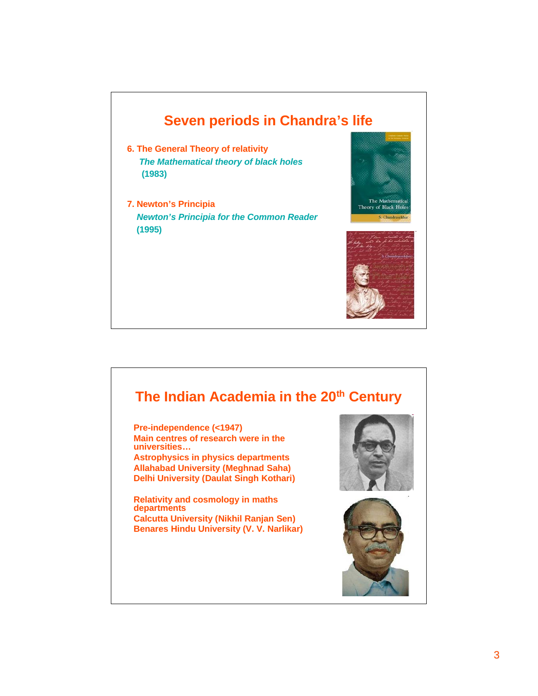#### **Seven periods in Chandra's life**

- **6. The General Theory of relativity**  *The Mathematical theory of black holes* **(1983)**
- **7. Newton's Principia**  *Newton's Principia for the Common Reader*  **(1995)**



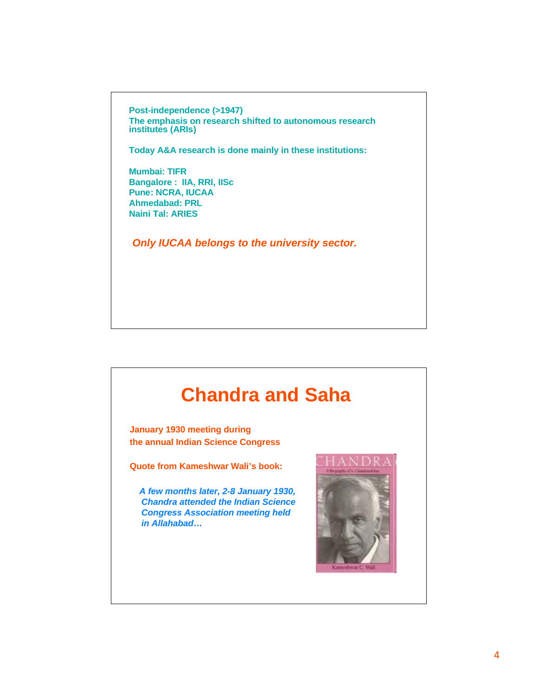**Post-independence (>1947) The emphasis on research shifted to autonomous research institutes (ARIs)**

**Today A&A research is done mainly in these institutions:**

**Mumbai: TIFR Bangalore : IIA, RRI, IISc Pune: NCRA, IUCAA Ahmedabad: PRL Naini Tal: ARIES**

*Only IUCAA belongs to the university sector.*

# **Chandra and Saha**

**January 1930 meeting during the annual Indian Science Congress**

**Quote from Kameshwar Wali's book:**

 *A few months later, 2-8 January 1930, Chandra attended the Indian Science Congress Association meeting held in Allahabad…*

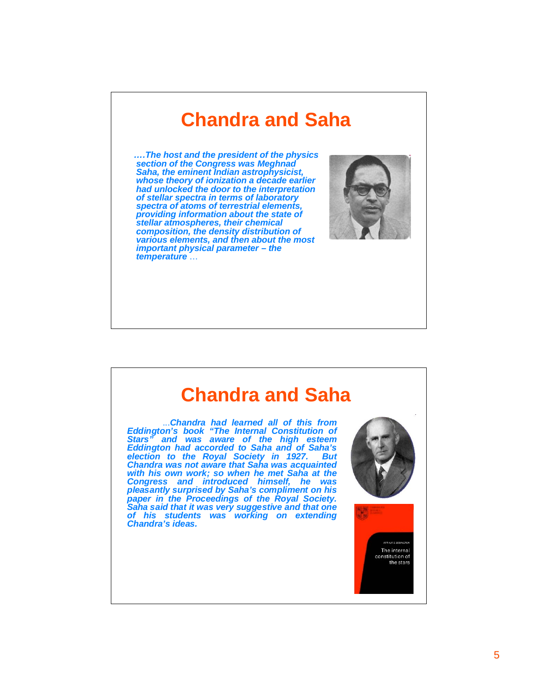# **Chandra and Saha**

 *….The host and the president of the physics section of the Congress was Meghnad Saha, the eminent Indian astrophysicist, whose theory of ionization a decade earlier had unlocked the door to the interpretation of stellar spectra in terms of laboratory spectra of atoms of terrestrial elements, providing information about the state of stellar atmospheres, their chemical composition, the density distribution of various elements, and then about the most important physical parameter – the temperature* …



### **Chandra and Saha**

 ...*Chandra had learned all of this from Eddington's book "The Internal Constitution of Stars" and was aware of the high esteem Eddington had accorded to Saha and of Saha's election to the Royal Society in 1927. But Chandra was not aware that Saha was acquainted with his own work; so when he met Saha at the Congress and introduced himself, he was pleasantly surprised by Saha's compliment on his paper in the Proceedings of the Royal Society. Saha said that it was very suggestive and that one of his students was working on extending Chandra's ideas.*

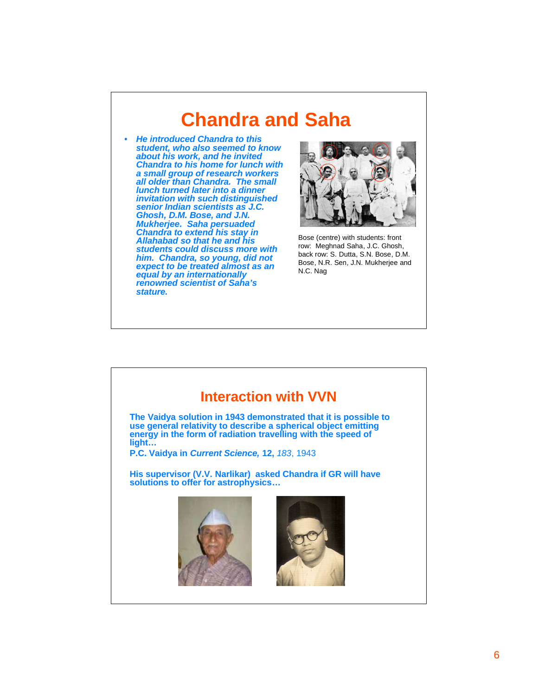### **Chandra and Saha**

• *He introduced Chandra to this student, who also seemed to know about his work, and he invited Chandra to his home for lunch with a small group of research workers all older than Chandra. The small lunch turned later into a dinner invitation with such distinguished senior Indian scientists as J.C. Ghosh, D.M. Bose, and J.N. Mukherjee. Saha persuaded Chandra to extend his stay in Allahabad so that he and his students could discuss more with him. Chandra, so young, did not expect to be treated almost as an equal by an internationally renowned scientist of Saha's stature.*



Bose (centre) with students: front row: Meghnad Saha, J.C. Ghosh, back row: S. Dutta, S.N. Bose, D.M. Bose, N.R. Sen, J.N. Mukherjee and N.C. Nag

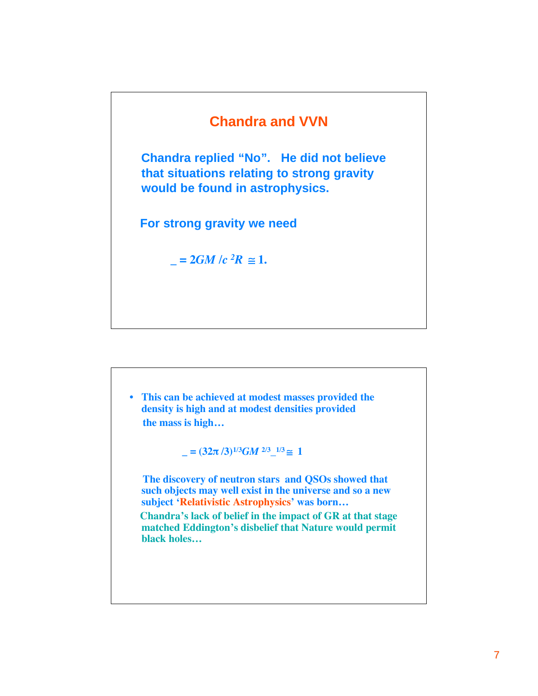#### **Chandra and VVN**

 **Chandra replied "No". He did not believe that situations relating to strong gravity would be found in astrophysics.**

 **For strong gravity we need**

 $= 2GM/c^2 R \approx 1.$ 

• **This can be achieved at modest masses provided the density is high and at modest densities provided the mass is high…**

 $\mathbf{I} = (32\pi/3)^{1/3}GM^{2/3}$ <sup>1/3</sup> $\cong$  1

 **The discovery of neutron stars and QSOs showed that such objects may well exist in the universe and so a new subject 'Relativistic Astrophysics' was born…**

 **Chandra's lack of belief in the impact of GR at that stage matched Eddington's disbelief that Nature would permit black holes…**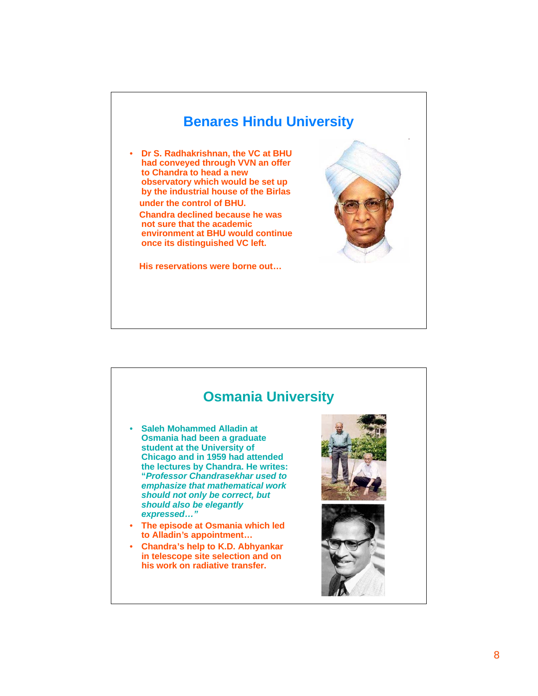

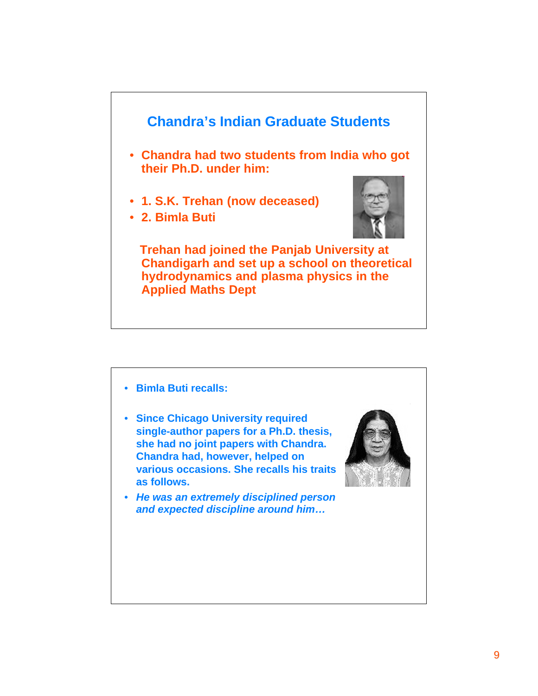

- **Bimla Buti recalls:**
- **Since Chicago University required single-author papers for a Ph.D. thesis, she had no joint papers with Chandra. Chandra had, however, helped on various occasions. She recalls his traits as follows.**



• *He was an extremely disciplined person and expected discipline around him…*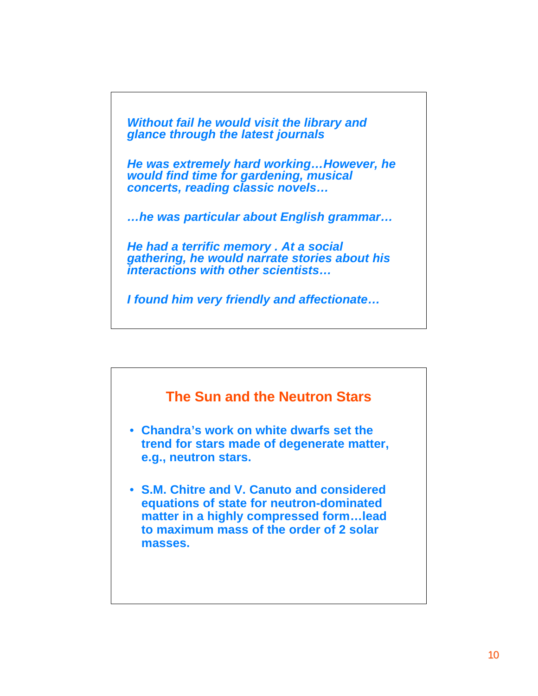*Without fail he would visit the library and glance through the latest journals*

*He was extremely hard working…However, he would find time for gardening, musical concerts, reading classic novels…*

*…he was particular about English grammar…*

*He had a terrific memory . At a social gathering, he would narrate stories about his interactions with other scientists…*

*I found him very friendly and affectionate…*

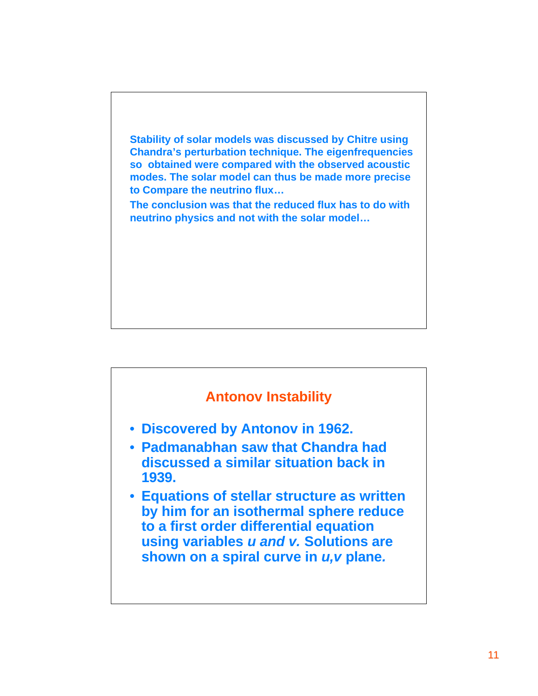

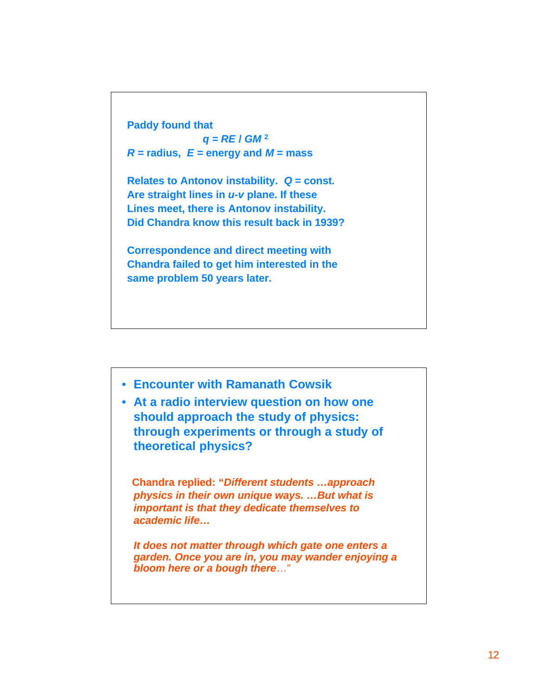

**Are straight lines in** *u-v* **plane. If these Lines meet, there is Antonov instability. Did Chandra know this result back in 1939?**

**Correspondence and direct meeting with Chandra failed to get him interested in the same problem 50 years later.**



• **At a radio interview question on how one should approach the study of physics: through experiments or through a study of theoretical physics?**

 **Chandra replied: "***Different students …approach physics in their own unique ways. …But what is important is that they dedicate themselves to academic life…*

*It does not matter through which gate one enters a garden. Once you are in, you may wander enjoying a bloom here or a bough there*…"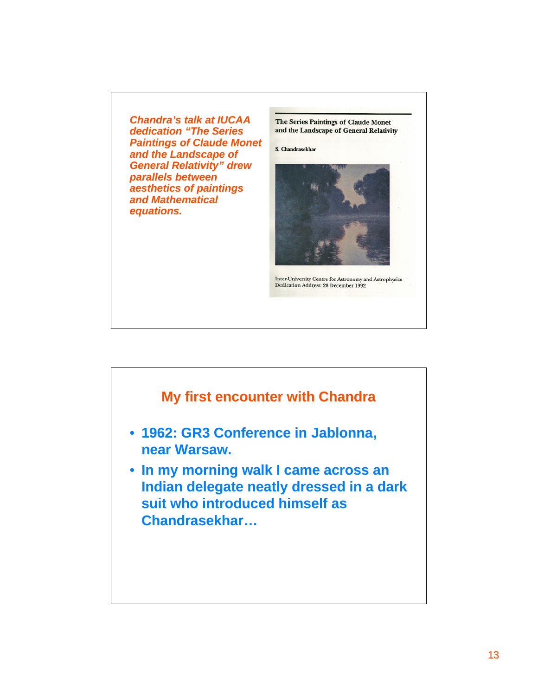*Chandra's talk at IUCAA dedication "The Series Paintings of Claude Monet and the Landscape of General Relativity" drew parallels between aesthetics of paintings and Mathematical equations.*

The Series Paintings of Claude Monet and the Landscape of General Relativity

S. Chandrasekhar



Inter-University Centre for Astronomy and Astrophysics Dedication Address: 28 December 1992